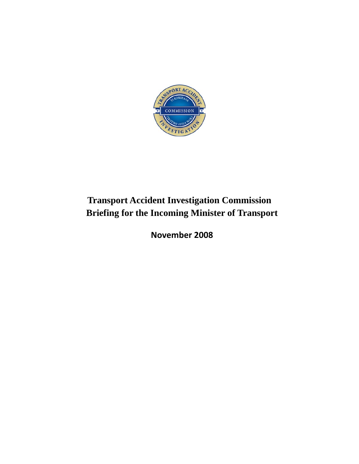

# **Transport Accident Investigation Commission Briefing for the Incoming Minister of Transport**

**November 2008**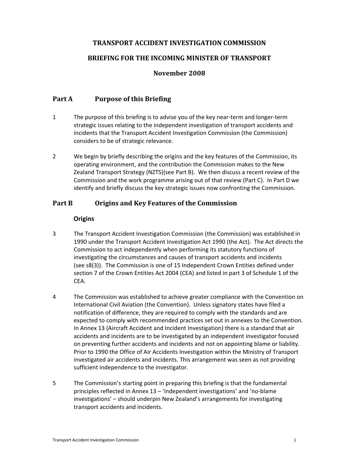# **TRANSPORT ACCIDENT INVESTIGATION COMMISSION**

# **BRIEFING FOR THE INCOMING MINISTER OF TRANSPORT**

# **November 2008**

# **Part A Purpose of this Briefing**

- 1 The purpose of this briefing is to advise you of the key near‐term and longer‐term strategic issues relating to the independent investigation of transport accidents and incidents that the Transport Accident Investigation Commission (the Commission) considers to be of strategic relevance.
- 2 We begin by briefly describing the origins and the key features of the Commission, its operating environment, and the contribution the Commission makes to the New Zealand Transport Strategy (NZTS)(see Part B). We then discuss a recent review of the Commission and the work programme arising out of that review (Part C). In Part D we identify and briefly discuss the key strategic issues now confronting the Commission.

# **Part B Origins and Key Features of the Commission**

#### **Origins**

- 3 The Transport Accident Investigation Commission (the Commission) was established in 1990 under the Transport Accident Investigation Act 1990 (the Act). The Act directs the Commission to act independently when performing its statutory functions of investigating the circumstances and causes of transport accidents and incidents (see s8(3)). The Commission is one of 15 Independent Crown Entities defined under section 7 of the Crown Entities Act 2004 (CEA) and listed in part 3 of Schedule 1 of the CEA.
- 4 The Commission was established to achieve greater compliance with the Convention on International Civil Aviation (the Convention). Unless signatory states have filed a notification of difference, they are required to comply with the standards and are expected to comply with recommended practices set out in annexes to the Convention. In Annex 13 (Aircraft Accident and Incident Investigation) there is a standard that air accidents and incidents are to be investigated by an independent investigator focused on preventing further accidents and incidents and not on appointing blame or liability. Prior to 1990 the Office of Air Accidents Investigation within the Ministry of Transport investigated air accidents and incidents. This arrangement was seen as not providing sufficient independence to the investigator.
- 5 The Commission's starting point in preparing this briefing is that the fundamental principles reflected in Annex 13 – 'independent investigations' and 'no‐blame investigations' – should underpin New Zealand's arrangements for investigating transport accidents and incidents.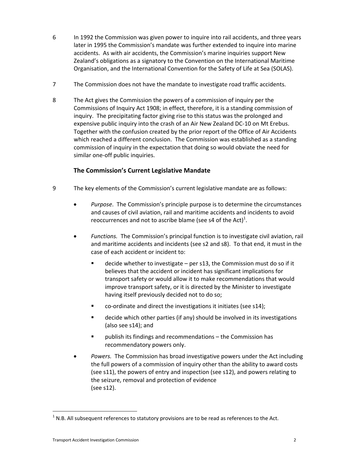- 6 In 1992 the Commission was given power to inquire into rail accidents, and three years later in 1995 the Commission's mandate was further extended to inquire into marine accidents. As with air accidents, the Commission's marine inquiries support New Zealand's obligations as a signatory to the Convention on the International Maritime Organisation, and the International Convention for the Safety of Life at Sea (SOLAS).
- 7 The Commission does not have the mandate to investigate road traffic accidents.
- 8 The Act gives the Commission the powers of a commission of inquiry per the Commissions of Inquiry Act 1908; in effect, therefore, it is a standing commission of inquiry. The precipitating factor giving rise to this status was the prolonged and expensive public inquiry into the crash of an Air New Zealand DC‐10 on Mt Erebus. Together with the confusion created by the prior report of the Office of Air Accidents which reached a different conclusion. The Commission was established as a standing commission of inquiry in the expectation that doing so would obviate the need for similar one‐off public inquiries.

# **The Commission's Current Legislative Mandate**

- 9 The key elements of the Commission's current legislative mandate are as follows:
	- *Purpose*. The Commission's principle purpose is to determine the circumstances and causes of civil aviation, rail and maritime accidents and incidents to avoid reoccurrences and not to ascribe blame (see s4 of the Act)<sup>1</sup>.
	- *Functions.* The Commission's principal function is to investigate civil aviation, rail and maritime accidents and incidents (see s2 and s8). To that end, it must in the case of each accident or incident to:
		- decide whether to investigate per s13, the Commission must do so if it believes that the accident or incident has significant implications for transport safety or would allow it to make recommendations that would improve transport safety, or it is directed by the Minister to investigate having itself previously decided not to do so;
		- co-ordinate and direct the investigations it initiates (see s14);
		- **EXEDEDER** decide which other parties (if any) should be involved in its investigations (also see s14); and
		- publish its findings and recommendations the Commission has recommendatory powers only.
	- *Powers.* The Commission has broad investigative powers under the Act including the full powers of a commission of inquiry other than the ability to award costs (see s11), the powers of entry and inspection (see s12), and powers relating to the seizure, removal and protection of evidence (see s12).

 $<sup>1</sup>$  N.B. All subsequent references to statutory provisions are to be read as references to the Act.</sup>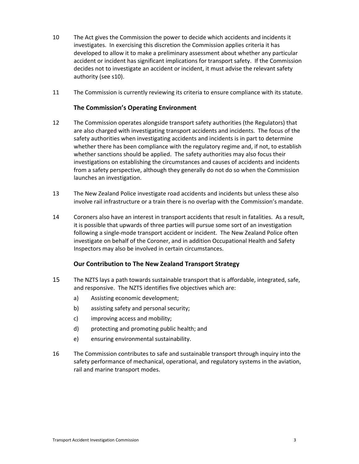- 10 The Act gives the Commission the power to decide which accidents and incidents it investigates. In exercising this discretion the Commission applies criteria it has developed to allow it to make a preliminary assessment about whether any particular accident or incident has significant implications for transport safety. If the Commission decides not to investigate an accident or incident, it must advise the relevant safety authority (see s10).
- 11 The Commission is currently reviewing its criteria to ensure compliance with its statute.

#### **The Commission's Operating Environment**

- 12 The Commission operates alongside transport safety authorities (the Regulators) that are also charged with investigating transport accidents and incidents. The focus of the safety authorities when investigating accidents and incidents is in part to determine whether there has been compliance with the regulatory regime and, if not, to establish whether sanctions should be applied. The safety authorities may also focus their investigations on establishing the circumstances and causes of accidents and incidents from a safety perspective, although they generally do not do so when the Commission launches an investigation.
- 13 The New Zealand Police investigate road accidents and incidents but unless these also involve rail infrastructure or a train there is no overlap with the Commission's mandate.
- 14 Coroners also have an interest in transport accidents that result in fatalities. As a result, it is possible that upwards of three parties will pursue some sort of an investigation following a single‐mode transport accident or incident. The New Zealand Police often investigate on behalf of the Coroner, and in addition Occupational Health and Safety Inspectors may also be involved in certain circumstances.

#### **Our Contribution to The New Zealand Transport Strategy**

- 15 The NZTS lays a path towards sustainable transport that is affordable, integrated, safe, and responsive. The NZTS identifies five objectives which are:
	- a) Assisting economic development;
	- b) assisting safety and personal security;
	- c) improving access and mobility;
	- d) protecting and promoting public health; and
	- e) ensuring environmental sustainability.
- 16 The Commission contributes to safe and sustainable transport through inquiry into the safety performance of mechanical, operational, and regulatory systems in the aviation, rail and marine transport modes.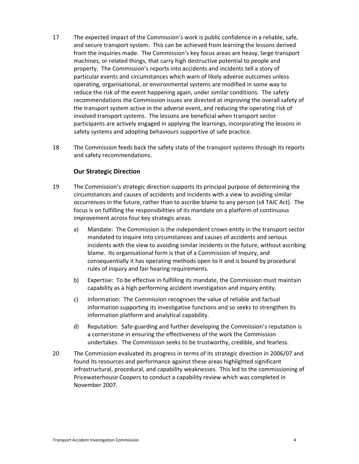- 17 The expected impact of the Commission's work is public confidence in a reliable, safe, and secure transport system. This can be achieved from learning the lessons derived from the inquiries made. The Commission's key focus areas are heavy, large transport machines, or related things, that carry high destructive potential to people and property. The Commission's reports into accidents and incidents tell a story of particular events and circumstances which warn of likely adverse outcomes unless operating, organisational, or environmental systems are modified in some way to reduce the risk of the event happening again, under similar conditions. The safety recommendations the Commission issues are directed at improving the overall safety of the transport system active in the adverse event, and reducing the operating risk of involved transport systems. The lessons are beneficial when transport sector participants are actively engaged in applying the learnings, incorporating the lessons in safety systems and adopting behaviours supportive of safe practice.
- 18 The Commission feeds back the safety state of the transport systems through its reports and safety recommendations.

#### **Our Strategic Direction**

- 19 The Commission's strategic direction supports its principal purpose of determining the circumstances and causes of accidents and incidents with a view to avoiding similar occurrences in the future, rather than to ascribe blame to any person (s4 TAIC Act). The focus is on fulfilling the responsibilities of its mandate on a platform of continuous improvement across four key strategic areas.
	- a) Mandate: The Commission is the independent crown entity in the transport sector mandated to inquire into circumstances and causes of accidents and serious incidents with the view to avoiding similar incidents in the future, without ascribing blame. Its organisational form is that of a Commission of Inquiry, and consequentially it has operating methods open to it and is bound by procedural rules of inquiry and fair hearing requirements.
	- b) Expertise: To be effective in fulfilling its mandate, the Commission must maintain capability as a high performing accident investigation and inquiry entity.
	- c) Information: The Commission recognises the value of reliable and factual information supporting its investigative functions and so seeks to strengthen its information platform and analytical capability.
	- d) Reputation: Safe‐guarding and further developing the Commission's reputation is a cornerstone in ensuring the effectiveness of the work the Commission undertakes. The Commission seeks to be trustworthy, credible, and fearless.
- 20 The Commission evaluated its progress in terms of its strategic direction in 2006/07 and found its resources and performance against these areas highlighted significant infrastructural, procedural, and capability weaknesses. This led to the commissioning of Pricewaterhouse Coopers to conduct a capability review which was completed in November 2007.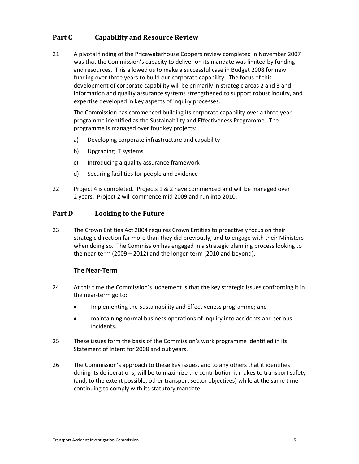# **Part C Capability and Resource Review**

21 A pivotal finding of the Pricewaterhouse Coopers review completed in November 2007 was that the Commission's capacity to deliver on its mandate was limited by funding and resources. This allowed us to make a successful case in Budget 2008 for new funding over three years to build our corporate capability. The focus of this development of corporate capability will be primarily in strategic areas 2 and 3 and information and quality assurance systems strengthened to support robust inquiry, and expertise developed in key aspects of inquiry processes.

The Commission has commenced building its corporate capability over a three year programme identified as the Sustainability and Effectiveness Programme. The programme is managed over four key projects:

- a) Developing corporate infrastructure and capability
- b) Upgrading IT systems
- c) Introducing a quality assurance framework
- d) Securing facilities for people and evidence
- 22 Project 4 is completed. Projects 1 & 2 have commenced and will be managed over 2 years. Project 2 will commence mid 2009 and run into 2010.

# **Part D Looking to the Future**

23 The Crown Entities Act 2004 requires Crown Entities to proactively focus on their strategic direction far more than they did previously, and to engage with their Ministers when doing so. The Commission has engaged in a strategic planning process looking to the near-term (2009 – 2012) and the longer-term (2010 and beyond).

# **The Near‐Term**

- 24 At this time the Commission's judgement is that the key strategic issues confronting it in the near‐term go to:
	- Implementing the Sustainability and Effectiveness programme; and
	- maintaining normal business operations of inquiry into accidents and serious incidents.
- 25 These issues form the basis of the Commission's work programme identified in its Statement of Intent for 2008 and out years.
- 26 The Commission's approach to these key issues, and to any others that it identifies during its deliberations, will be to maximize the contribution it makes to transport safety (and, to the extent possible, other transport sector objectives) while at the same time continuing to comply with its statutory mandate.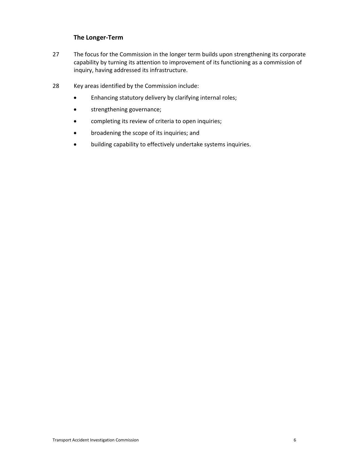### **The Longer‐Term**

- 27 The focus for the Commission in the longer term builds upon strengthening its corporate capability by turning its attention to improvement of its functioning as a commission of inquiry, having addressed its infrastructure.
- 28 Key areas identified by the Commission include:
	- Enhancing statutory delivery by clarifying internal roles;
	- strengthening governance;
	- completing its review of criteria to open inquiries;
	- broadening the scope of its inquiries; and
	- building capability to effectively undertake systems inquiries.